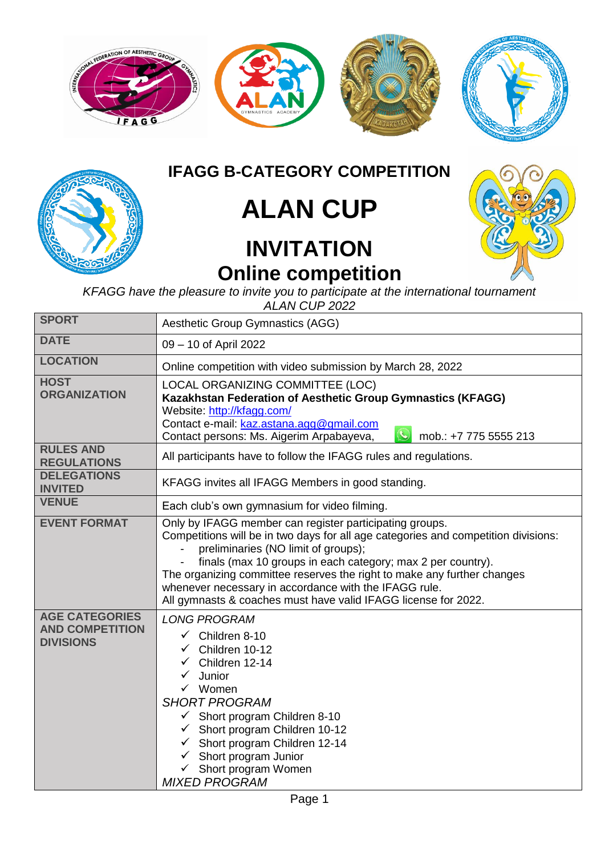

## **IFAGG B-CATEGORY COMPETITION**

## **ALAN CUP**

## **INVITATION Online competition**



*KFAGG have the pleasure to invite you to participate at the international tournament ALAN CUP 2022*

| <b>SPORT</b>                                                        | <b>Aesthetic Group Gymnastics (AGG)</b>                                                                                                                                                                                                                                                                                                                                                                                                                   |  |  |
|---------------------------------------------------------------------|-----------------------------------------------------------------------------------------------------------------------------------------------------------------------------------------------------------------------------------------------------------------------------------------------------------------------------------------------------------------------------------------------------------------------------------------------------------|--|--|
| <b>DATE</b>                                                         | 09 - 10 of April 2022                                                                                                                                                                                                                                                                                                                                                                                                                                     |  |  |
| <b>LOCATION</b>                                                     | Online competition with video submission by March 28, 2022                                                                                                                                                                                                                                                                                                                                                                                                |  |  |
| <b>HOST</b><br><b>ORGANIZATION</b>                                  | LOCAL ORGANIZING COMMITTEE (LOC)<br>Kazakhstan Federation of Aesthetic Group Gymnastics (KFAGG)<br>Website: http://kfagg.com/<br>Contact e-mail: kaz.astana.agg@gmail.com<br>Contact persons: Ms. Aigerim Arpabayeva,<br>mob.: +7 775 5555 213                                                                                                                                                                                                            |  |  |
| <b>RULES AND</b><br><b>REGULATIONS</b>                              | All participants have to follow the IFAGG rules and regulations.                                                                                                                                                                                                                                                                                                                                                                                          |  |  |
| <b>DELEGATIONS</b><br><b>INVITED</b>                                | KFAGG invites all IFAGG Members in good standing.                                                                                                                                                                                                                                                                                                                                                                                                         |  |  |
| <b>VENUE</b>                                                        | Each club's own gymnasium for video filming.                                                                                                                                                                                                                                                                                                                                                                                                              |  |  |
| <b>EVENT FORMAT</b>                                                 | Only by IFAGG member can register participating groups.<br>Competitions will be in two days for all age categories and competition divisions:<br>preliminaries (NO limit of groups);<br>finals (max 10 groups in each category; max 2 per country).<br>The organizing committee reserves the right to make any further changes<br>whenever necessary in accordance with the IFAGG rule.<br>All gymnasts & coaches must have valid IFAGG license for 2022. |  |  |
| <b>AGE CATEGORIES</b><br><b>AND COMPETITION</b><br><b>DIVISIONS</b> | <b>LONG PROGRAM</b><br>$\checkmark$ Children 8-10<br>$\checkmark$ Children 10-12<br>Children 12-14<br>Junior<br>$\checkmark$ Women<br><b>SHORT PROGRAM</b><br>$\checkmark$ Short program Children 8-10<br>$\checkmark$ Short program Children 10-12<br>$\checkmark$ Short program Children 12-14<br>$\checkmark$ Short program Junior<br>$\checkmark$ Short program Women<br><b>MIXED PROGRAM</b>                                                         |  |  |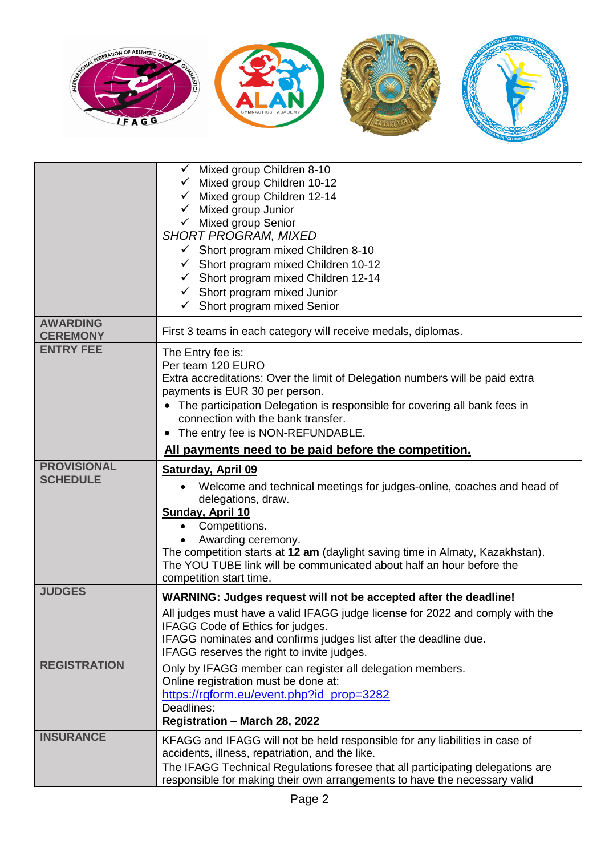

|                                       | $\checkmark$ Mixed group Children 8-10<br>Mixed group Children 10-12<br>Mixed group Children 12-14<br>Mixed group Junior<br>$\checkmark$ Mixed group Senior<br><b>SHORT PROGRAM, MIXED</b><br>$\checkmark$ Short program mixed Children 8-10<br>$\checkmark$ Short program mixed Children 10-12<br>$\checkmark$ Short program mixed Children 12-14<br>$\checkmark$ Short program mixed Junior<br>Short program mixed Senior<br>$\checkmark$ |
|---------------------------------------|---------------------------------------------------------------------------------------------------------------------------------------------------------------------------------------------------------------------------------------------------------------------------------------------------------------------------------------------------------------------------------------------------------------------------------------------|
| <b>AWARDING</b><br><b>CEREMONY</b>    | First 3 teams in each category will receive medals, diplomas.                                                                                                                                                                                                                                                                                                                                                                               |
| <b>ENTRY FEE</b>                      | The Entry fee is:<br>Per team 120 EURO<br>Extra accreditations: Over the limit of Delegation numbers will be paid extra<br>payments is EUR 30 per person.<br>• The participation Delegation is responsible for covering all bank fees in<br>connection with the bank transfer.<br>• The entry fee is NON-REFUNDABLE.                                                                                                                        |
|                                       | All payments need to be paid before the competition.                                                                                                                                                                                                                                                                                                                                                                                        |
| <b>PROVISIONAL</b><br><b>SCHEDULE</b> | <b>Saturday, April 09</b><br>Welcome and technical meetings for judges-online, coaches and head of<br>delegations, draw.<br>Sunday, April 10<br>Competitions.<br>$\bullet$<br>Awarding ceremony.<br>The competition starts at 12 am (daylight saving time in Almaty, Kazakhstan).<br>The YOU TUBE link will be communicated about half an hour before the<br>competition start time.                                                        |
| <b>JUDGES</b>                         | WARNING: Judges request will not be accepted after the deadline!<br>All judges must have a valid IFAGG judge license for 2022 and comply with the<br>IFAGG Code of Ethics for judges.<br>IFAGG nominates and confirms judges list after the deadline due.<br>IFAGG reserves the right to invite judges.                                                                                                                                     |
| <b>REGISTRATION</b>                   | Only by IFAGG member can register all delegation members.<br>Online registration must be done at:<br>https://rgform.eu/event.php?id_prop=3282<br>Deadlines:<br>Registration - March 28, 2022                                                                                                                                                                                                                                                |
| <b>INSURANCE</b>                      | KFAGG and IFAGG will not be held responsible for any liabilities in case of<br>accidents, illness, repatriation, and the like.<br>The IFAGG Technical Regulations foresee that all participating delegations are<br>responsible for making their own arrangements to have the necessary valid                                                                                                                                               |